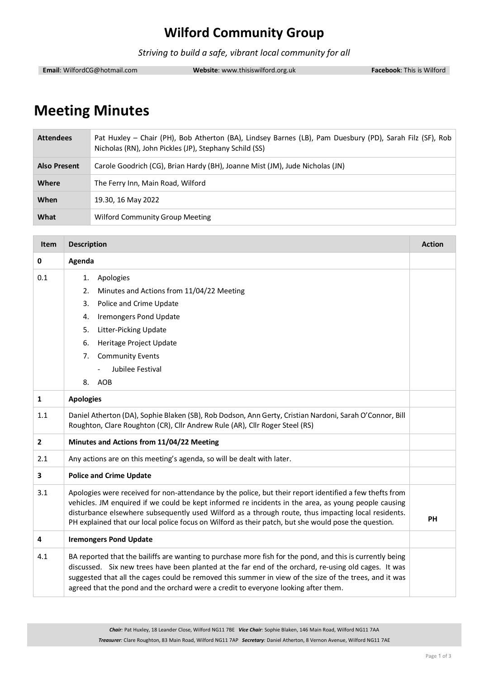# **Wilford Community Group**

*Striving to build a safe, vibrant local community for all*

**Email**: WilfordCG@hotmail.com **Website**: www.thisiswilford.org.uk **Facebook**: This is Wilford

## **Meeting Minutes**

| <b>Attendees</b>    | Pat Huxley - Chair (PH), Bob Atherton (BA), Lindsey Barnes (LB), Pam Duesbury (PD), Sarah Filz (SF), Rob<br>Nicholas (RN), John Pickles (JP), Stephany Schild (SS) |
|---------------------|--------------------------------------------------------------------------------------------------------------------------------------------------------------------|
| <b>Also Present</b> | Carole Goodrich (CG), Brian Hardy (BH), Joanne Mist (JM), Jude Nicholas (JN)                                                                                       |
| Where               | The Ferry Inn, Main Road, Wilford                                                                                                                                  |
| When                | 19.30, 16 May 2022                                                                                                                                                 |
| What                | Wilford Community Group Meeting                                                                                                                                    |

| <b>Item</b>  | <b>Description</b>                                                                                                                                                                                                                                                                                                                                                                                                             | <b>Action</b> |
|--------------|--------------------------------------------------------------------------------------------------------------------------------------------------------------------------------------------------------------------------------------------------------------------------------------------------------------------------------------------------------------------------------------------------------------------------------|---------------|
| $\mathbf 0$  | Agenda                                                                                                                                                                                                                                                                                                                                                                                                                         |               |
| 0.1          | Apologies<br>1.                                                                                                                                                                                                                                                                                                                                                                                                                |               |
|              | 2.<br>Minutes and Actions from 11/04/22 Meeting                                                                                                                                                                                                                                                                                                                                                                                |               |
|              | Police and Crime Update<br>3.                                                                                                                                                                                                                                                                                                                                                                                                  |               |
|              | <b>Iremongers Pond Update</b><br>4.                                                                                                                                                                                                                                                                                                                                                                                            |               |
|              | Litter-Picking Update<br>5.                                                                                                                                                                                                                                                                                                                                                                                                    |               |
|              | Heritage Project Update<br>6.                                                                                                                                                                                                                                                                                                                                                                                                  |               |
|              | <b>Community Events</b><br>7.                                                                                                                                                                                                                                                                                                                                                                                                  |               |
|              | Jubilee Festival                                                                                                                                                                                                                                                                                                                                                                                                               |               |
|              | AOB<br>8.                                                                                                                                                                                                                                                                                                                                                                                                                      |               |
| $\mathbf{1}$ | <b>Apologies</b>                                                                                                                                                                                                                                                                                                                                                                                                               |               |
| 1.1          | Daniel Atherton (DA), Sophie Blaken (SB), Rob Dodson, Ann Gerty, Cristian Nardoni, Sarah O'Connor, Bill<br>Roughton, Clare Roughton (CR), Cllr Andrew Rule (AR), Cllr Roger Steel (RS)                                                                                                                                                                                                                                         |               |
| $\mathbf{2}$ | Minutes and Actions from 11/04/22 Meeting                                                                                                                                                                                                                                                                                                                                                                                      |               |
| 2.1          | Any actions are on this meeting's agenda, so will be dealt with later.                                                                                                                                                                                                                                                                                                                                                         |               |
| 3            | <b>Police and Crime Update</b>                                                                                                                                                                                                                                                                                                                                                                                                 |               |
| 3.1          | Apologies were received for non-attendance by the police, but their report identified a few thefts from<br>vehicles. JM enquired if we could be kept informed re incidents in the area, as young people causing<br>disturbance elsewhere subsequently used Wilford as a through route, thus impacting local residents.<br>PH explained that our local police focus on Wilford as their patch, but she would pose the question. | PH            |
| 4            | <b>Iremongers Pond Update</b>                                                                                                                                                                                                                                                                                                                                                                                                  |               |
| 4.1          | BA reported that the bailiffs are wanting to purchase more fish for the pond, and this is currently being<br>discussed. Six new trees have been planted at the far end of the orchard, re-using old cages. It was<br>suggested that all the cages could be removed this summer in view of the size of the trees, and it was<br>agreed that the pond and the orchard were a credit to everyone looking after them.              |               |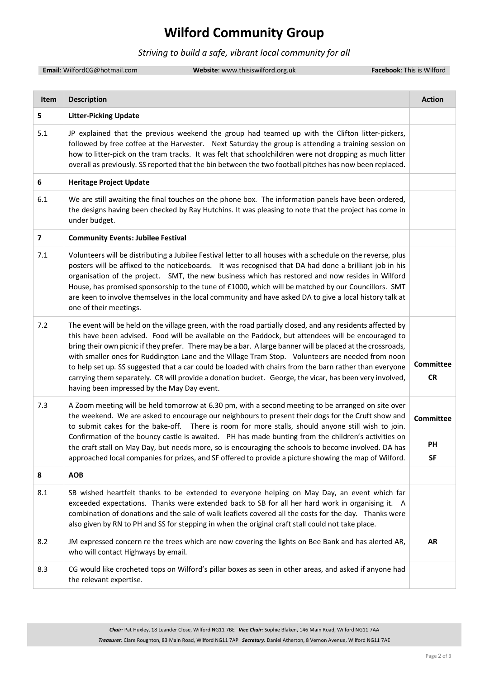#### **Wilford Community Group**

#### *Striving to build a safe, vibrant local community for all*

**Email:** WilfordCG@hotmail.com **Website**: www.thisiswilford.org.uk **Facebook**: This is Wilford

**Item Description Action 5 Litter-Picking Update** 5.1 JP explained that the previous weekend the group had teamed up with the Clifton litter-pickers, followed by free coffee at the Harvester. Next Saturday the group is attending a training session on how to litter-pick on the tram tracks. It was felt that schoolchildren were not dropping as much litter overall as previously. SS reported that the bin between the two football pitches has now been replaced. **6 Heritage Project Update** 6.1 We are still awaiting the final touches on the phone box. The information panels have been ordered, the designs having been checked by Ray Hutchins. It was pleasing to note that the project has come in under budget. **7 Community Events: Jubilee Festival** 7.1 Volunteers will be distributing a Jubilee Festival letter to all houses with a schedule on the reverse, plus posters will be affixed to the noticeboards. It was recognised that DA had done a brilliant job in his organisation of the project. SMT, the new business which has restored and now resides in Wilford House, has promised sponsorship to the tune of £1000, which will be matched by our Councillors. SMT are keen to involve themselves in the local community and have asked DA to give a local history talk at one of their meetings. 7.2 The event will be held on the village green, with the road partially closed, and any residents affected by this have been advised. Food will be available on the Paddock, but attendees will be encouraged to bring their own picnic if they prefer. There may be a bar. A large banner will be placed at the crossroads, with smaller ones for Ruddington Lane and the Village Tram Stop. Volunteers are needed from noon to help set up. SS suggested that a car could be loaded with chairs from the barn rather than everyone carrying them separately. CR will provide a donation bucket. George, the vicar, has been very involved, having been impressed by the May Day event. **Committee CR** 7.3 A Zoom meeting will be held tomorrow at 6.30 pm, with a second meeting to be arranged on site over the weekend. We are asked to encourage our neighbours to present their dogs for the Cruft show and to submit cakes for the bake-off. There is room for more stalls, should anyone still wish to join. Confirmation of the bouncy castle is awaited. PH has made bunting from the children's activities on the craft stall on May Day, but needs more, so is encouraging the schools to become involved. DA has approached local companies for prizes, and SF offered to provide a picture showing the map of Wilford. **Committee PH SF 8 AOB** 8.1 SB wished heartfelt thanks to be extended to everyone helping on May Day, an event which far exceeded expectations. Thanks were extended back to SB for all her hard work in organising it. A combination of donations and the sale of walk leaflets covered all the costs for the day. Thanks were also given by RN to PH and SS for stepping in when the original craft stall could not take place. 8.2 JM expressed concern re the trees which are now covering the lights on Bee Bank and has alerted AR, who will contact Highways by email. **AR** 8.3 CG would like crocheted tops on Wilford's pillar boxes as seen in other areas, and asked if anyone had the relevant expertise.